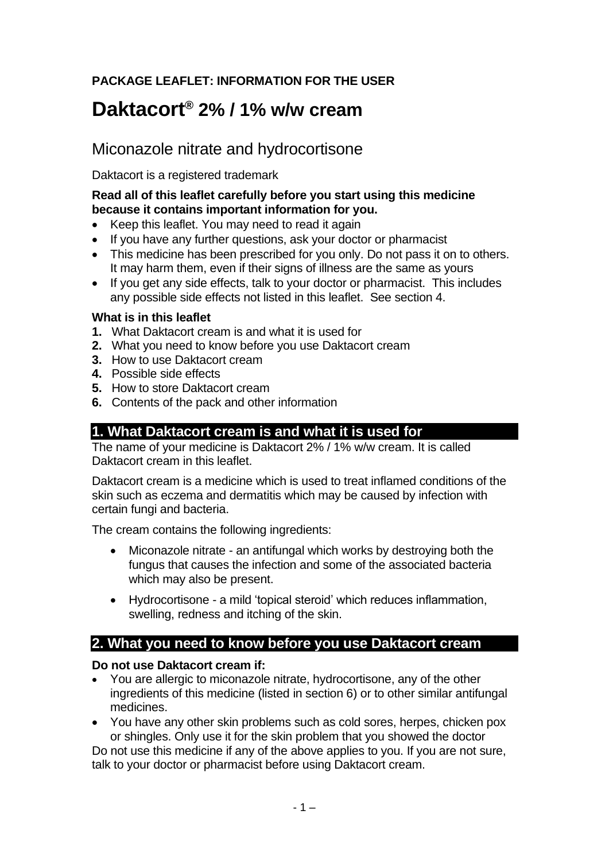# **PACKAGE LEAFLET: INFORMATION FOR THE USER**

# **Daktacort® 2% / 1% w/w cream**

# Miconazole nitrate and hydrocortisone

Daktacort is a registered trademark

### **Read all of this leaflet carefully before you start using this medicine because it contains important information for you.**

- Keep this leaflet. You may need to read it again
- If you have any further questions, ask your doctor or pharmacist
- This medicine has been prescribed for you only. Do not pass it on to others. It may harm them, even if their signs of illness are the same as yours
- If you get any side effects, talk to your doctor or pharmacist. This includes any possible side effects not listed in this leaflet. See section 4.

#### **What is in this leaflet**

- **1.** What Daktacort cream is and what it is used for
- **2.** What you need to know before you use Daktacort cream
- **3.** How to use Daktacort cream
- **4.** Possible side effects
- **5.** How to store Daktacort cream
- **6.** Contents of the pack and other information

# **1. What Daktacort cream is and what it is used for**

The name of your medicine is Daktacort 2% / 1% w/w cream. It is called Daktacort cream in this leaflet.

Daktacort cream is a medicine which is used to treat inflamed conditions of the skin such as eczema and dermatitis which may be caused by infection with certain fungi and bacteria.

The cream contains the following ingredients:

- Miconazole nitrate an antifungal which works by destroying both the fungus that causes the infection and some of the associated bacteria which may also be present.
- Hydrocortisone a mild 'topical steroid' which reduces inflammation, swelling, redness and itching of the skin.

# **2. What you need to know before you use Daktacort cream**

#### **Do not use Daktacort cream if:**

- You are allergic to miconazole nitrate, hydrocortisone, any of the other ingredients of this medicine (listed in section 6) or to other similar antifungal medicines.
- You have any other skin problems such as cold sores, herpes, chicken pox or shingles. Only use it for the skin problem that you showed the doctor

Do not use this medicine if any of the above applies to you. If you are not sure, talk to your doctor or pharmacist before using Daktacort cream.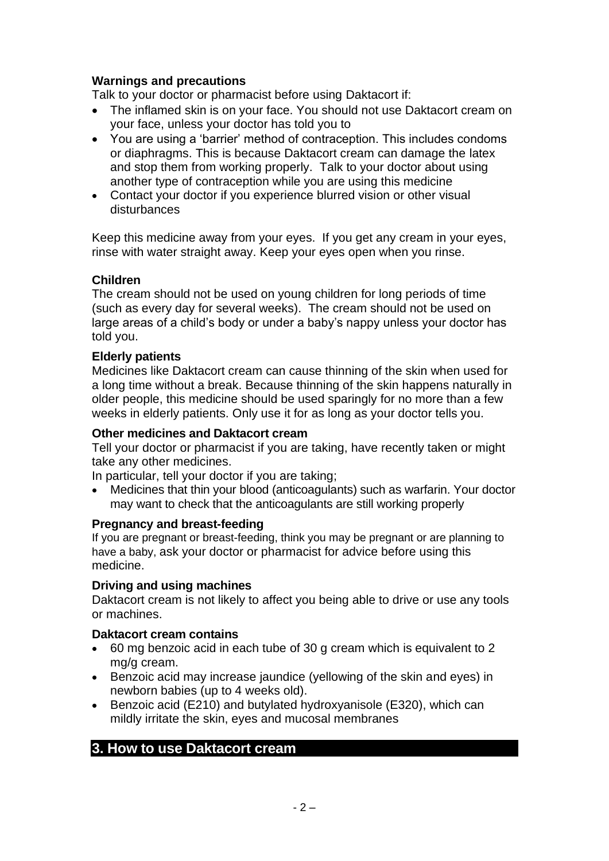### **Warnings and precautions**

Talk to your doctor or pharmacist before using Daktacort if:

- The inflamed skin is on your face. You should not use Daktacort cream on your face, unless your doctor has told you to
- You are using a 'barrier' method of contraception. This includes condoms or diaphragms. This is because Daktacort cream can damage the latex and stop them from working properly. Talk to your doctor about using another type of contraception while you are using this medicine
- Contact your doctor if you experience blurred vision or other visual disturbances

Keep this medicine away from your eyes. If you get any cream in your eyes, rinse with water straight away. Keep your eyes open when you rinse.

#### **Children**

The cream should not be used on young children for long periods of time (such as every day for several weeks). The cream should not be used on large areas of a child's body or under a baby's nappy unless your doctor has told you.

#### **Elderly patients**

Medicines like Daktacort cream can cause thinning of the skin when used for a long time without a break. Because thinning of the skin happens naturally in older people, this medicine should be used sparingly for no more than a few weeks in elderly patients. Only use it for as long as your doctor tells you.

#### **Other medicines and Daktacort cream**

Tell your doctor or pharmacist if you are taking, have recently taken or might take any other medicines.

In particular, tell your doctor if you are taking;

• Medicines that thin your blood (anticoagulants) such as warfarin. Your doctor may want to check that the anticoagulants are still working properly

#### **Pregnancy and breast-feeding**

If you are pregnant or breast-feeding, think you may be pregnant or are planning to have a baby, ask your doctor or pharmacist for advice before using this medicine.

#### **Driving and using machines**

Daktacort cream is not likely to affect you being able to drive or use any tools or machines.

#### **Daktacort cream contains**

- 60 mg benzoic acid in each tube of 30 g cream which is equivalent to 2 mg/g cream.
- Benzoic acid may increase jaundice (yellowing of the skin and eyes) in newborn babies (up to 4 weeks old).
- Benzoic acid (E210) and butylated hydroxyanisole (E320), which can mildly irritate the skin, eyes and mucosal membranes

### **3. How to use Daktacort cream**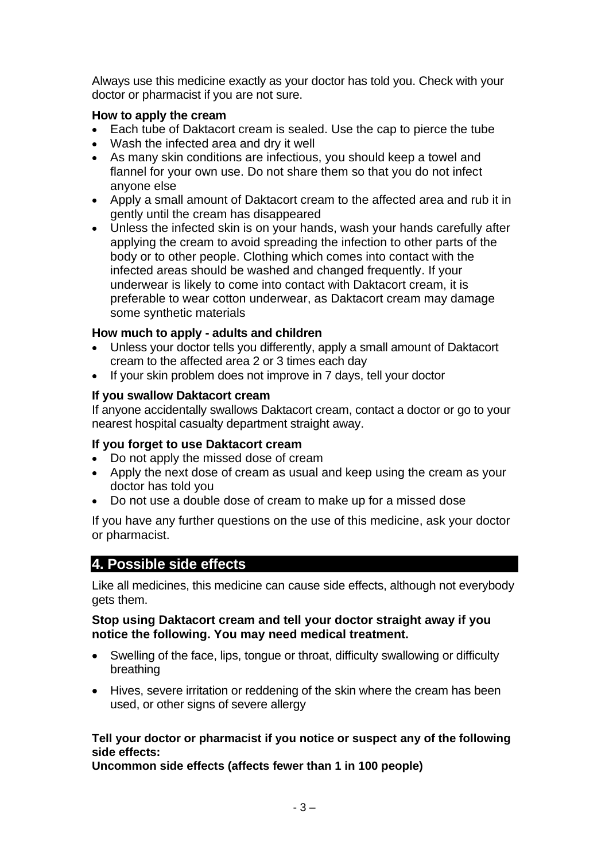Always use this medicine exactly as your doctor has told you. Check with your doctor or pharmacist if you are not sure.

#### **How to apply the cream**

- Each tube of Daktacort cream is sealed. Use the cap to pierce the tube
- Wash the infected area and dry it well
- As many skin conditions are infectious, you should keep a towel and flannel for your own use. Do not share them so that you do not infect anyone else
- Apply a small amount of Daktacort cream to the affected area and rub it in gently until the cream has disappeared
- Unless the infected skin is on your hands, wash your hands carefully after applying the cream to avoid spreading the infection to other parts of the body or to other people. Clothing which comes into contact with the infected areas should be washed and changed frequently. If your underwear is likely to come into contact with Daktacort cream, it is preferable to wear cotton underwear, as Daktacort cream may damage some synthetic materials

### **How much to apply - adults and children**

- Unless your doctor tells you differently, apply a small amount of Daktacort cream to the affected area 2 or 3 times each day
- If your skin problem does not improve in 7 days, tell your doctor

#### **If you swallow Daktacort cream**

If anyone accidentally swallows Daktacort cream, contact a doctor or go to your nearest hospital casualty department straight away.

### **If you forget to use Daktacort cream**

- Do not apply the missed dose of cream
- Apply the next dose of cream as usual and keep using the cream as your doctor has told you
- Do not use a double dose of cream to make up for a missed dose

If you have any further questions on the use of this medicine, ask your doctor or pharmacist.

# **4. Possible side effects**

Like all medicines, this medicine can cause side effects, although not everybody gets them.

#### **Stop using Daktacort cream and tell your doctor straight away if you notice the following. You may need medical treatment.**

- Swelling of the face, lips, tongue or throat, difficulty swallowing or difficulty breathing
- Hives, severe irritation or reddening of the skin where the cream has been used, or other signs of severe allergy

#### **Tell your doctor or pharmacist if you notice or suspect any of the following side effects:**

**Uncommon side effects (affects fewer than 1 in 100 people)**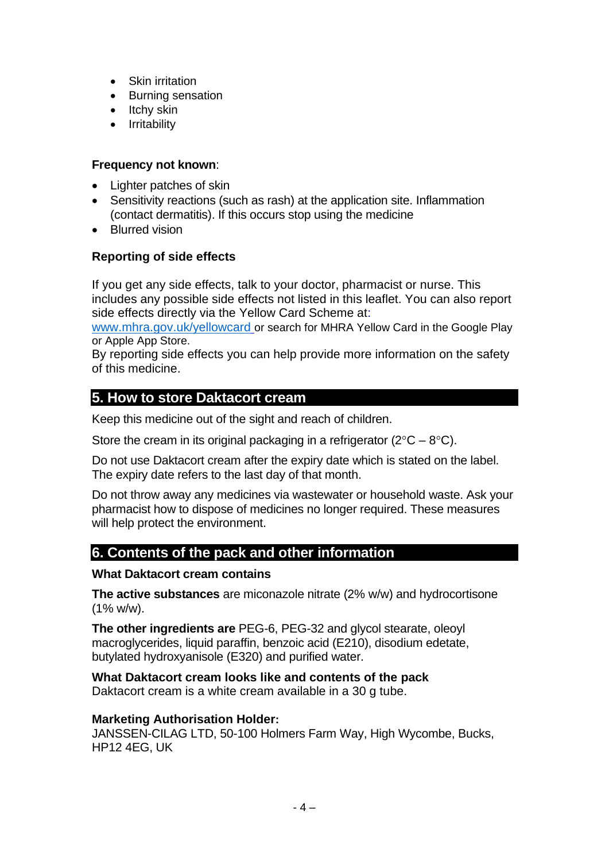- Skin irritation
- Burning sensation
- Itchy skin
- Irritability

#### **Frequency not known**:

- Lighter patches of skin
- Sensitivity reactions (such as rash) at the application site. Inflammation (contact dermatitis). If this occurs stop using the medicine
- Blurred vision

#### **Reporting of side effects**

If you get any side effects, talk to your doctor, pharmacist or nurse. This includes any possible side effects not listed in this leaflet. You can also report side effects directly via the Yellow Card Scheme at:

[www.mhra.gov.uk/yellowcard](http://www.mhra.gov.uk/yellowcard) or search for MHRA Yellow Card in the Google Play or Apple App Store.

By reporting side effects you can help provide more information on the safety of this medicine.

# **5. How to store Daktacort cream**

Keep this medicine out of the sight and reach of children.

Store the cream in its original packaging in a refrigerator ( $2^{\circ}C - 8^{\circ}C$ ).

Do not use Daktacort cream after the expiry date which is stated on the label. The expiry date refers to the last day of that month.

Do not throw away any medicines via wastewater or household waste. Ask your pharmacist how to dispose of medicines no longer required. These measures will help protect the environment.

# **6. Contents of the pack and other information**

#### **What Daktacort cream contains**

**The active substances** are miconazole nitrate (2% w/w) and hydrocortisone  $(1\% w/w)$ .

**The other ingredients are** PEG-6, PEG-32 and glycol stearate, oleoyl macroglycerides, liquid paraffin, benzoic acid (E210), disodium edetate, butylated hydroxyanisole (E320) and purified water.

**What Daktacort cream looks like and contents of the pack**

Daktacort cream is a white cream available in a 30 g tube.

#### **Marketing Authorisation Holder:**

JANSSEN-CILAG LTD, 50-100 Holmers Farm Way, High Wycombe, Bucks, HP12 4EG, UK